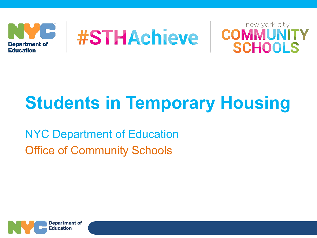





# **Students in Temporary Housing**

NYC Department of Education Office of Community Schools

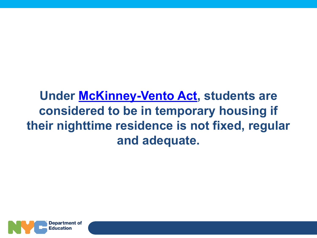### **Under [McKinney-Vento Act](https://nysteachs.org/topic-resource/mckinney-vento-homeless-education-assistance-act-reauthorized-by-title-ix-part-a-of-the-every-student-succeeds-act-essa/), students are considered to be in temporary housing if their nighttime residence is not fixed, regular and adequate.**

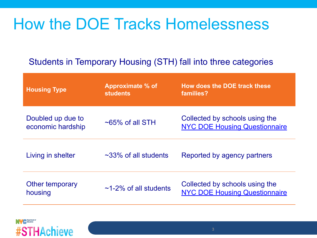# How the DOE Tracks Homelessness

### Students in Temporary Housing (STH) fall into three categories

| <b>Housing Type</b>                    | Approximate % of<br><b>students</b> | How does the DOE track these<br>families?                              |
|----------------------------------------|-------------------------------------|------------------------------------------------------------------------|
| Doubled up due to<br>economic hardship | $\sim$ 65% of all STH               | Collected by schools using the<br><b>NYC DOE Housing Questionnaire</b> |
| Living in shelter                      | $\sim$ 33% of all students          | Reported by agency partners                                            |
| Other temporary<br>housing             | $\sim$ 1-2% of all students         | Collected by schools using the<br><b>NYC DOE Housing Questionnaire</b> |

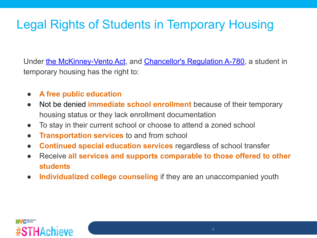### Legal Rights of Students in Temporary Housing

Under [the McKinney-Vento Act,](https://nysteachs.org/topic-resource/mckinney-vento-homeless-education-assistance-act-reauthorized-by-title-ix-part-a-of-the-every-student-succeeds-act-essa/) and [Chancellor's Regulation A-780](https://www.schools.nyc.gov/about-us/policies/chancellors-regulations/volume-a-regulations/2), a student in temporary housing has the right to:

- **A free public education**
- Not be denied **immediate school enrollment** because of their temporary housing status or they lack enrollment documentation
- To stay in their current school or choose to attend a zoned school
- **Transportation services** to and from school
- **Continued special education services** regardless of school transfer
- Receive **all services and supports comparable to those offered to other students**
- **● Individualized college counseling** if they are an unaccompanied youth

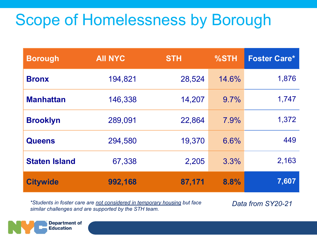# Scope of Homelessness by Borough

| <b>Borough</b>       | <b>AII NYC</b> | <b>STH</b> | %STH  | <b>Foster Care*</b> |
|----------------------|----------------|------------|-------|---------------------|
| <b>Bronx</b>         | 194,821        | 28,524     | 14.6% | 1,876               |
| <b>Manhattan</b>     | 146,338        | 14,207     | 9.7%  | 1,747               |
| <b>Brooklyn</b>      | 289,091        | 22,864     | 7.9%  | 1,372               |
| <b>Queens</b>        | 294,580        | 19,370     | 6.6%  | 449                 |
| <b>Staten Island</b> | 67,338         | 2,205      | 3.3%  | 2,163               |
| <b>Citywide</b>      | 992,168        | 87,171     | 8.8%  | 7,607               |

*\*Students in foster care are not considered in temporary housing but face similar challenges and are supported by the STH team.*

*Data from SY20-21*

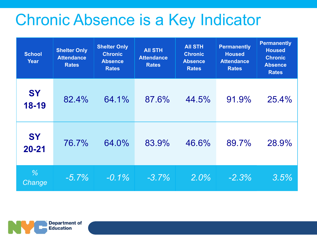## Chronic Absence is a Key Indicator

| <b>School</b><br><b>Year</b> | <b>Shelter Only</b><br><b>Attendance</b><br><b>Rates</b> | <b>Shelter Only</b><br><b>Chronic</b><br><b>Absence</b><br><b>Rates</b> | <b>AII STH</b><br><b>Attendance</b><br><b>Rates</b> | <b>AII STH</b><br><b>Chronic</b><br><b>Absence</b><br><b>Rates</b> | <b>Permanently</b><br><b>Housed</b><br><b>Attendance</b><br><b>Rates</b> | <b>Permanently</b><br><b>Housed</b><br><b>Chronic</b><br><b>Absence</b><br><b>Rates</b> |
|------------------------------|----------------------------------------------------------|-------------------------------------------------------------------------|-----------------------------------------------------|--------------------------------------------------------------------|--------------------------------------------------------------------------|-----------------------------------------------------------------------------------------|
| <b>SY</b><br>18-19           | 82.4%                                                    | 64.1%                                                                   | 87.6%                                               | 44.5%                                                              | 91.9%                                                                    | 25.4%                                                                                   |
| <b>SY</b><br>$20 - 21$       | 76.7%                                                    | 64.0%                                                                   | 83.9%                                               | 46.6%                                                              | 89.7%                                                                    | 28.9%                                                                                   |
| $\frac{9}{6}$<br>Change      | $-5.7\%$                                                 | $-0.1\%$                                                                | $-3.7\%$                                            | $2.0\%$                                                            | $-2.3%$                                                                  | 3.5%                                                                                    |

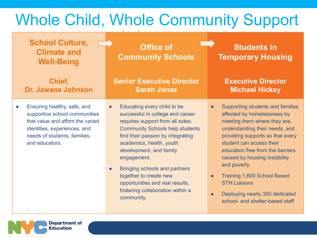# Whole Child, Whole Community Support

| <b>School Culture,</b><br><b>Climate and</b><br><b>Well-Being</b>                                                                                                                               | <b>Office of</b><br><b>Community Schools</b>                                                                                                                                                                                                                                                                        | <b>Students in</b><br><b>Temporary Housing</b>                                                                                                                                                                                                                                                                                                         |
|-------------------------------------------------------------------------------------------------------------------------------------------------------------------------------------------------|---------------------------------------------------------------------------------------------------------------------------------------------------------------------------------------------------------------------------------------------------------------------------------------------------------------------|--------------------------------------------------------------------------------------------------------------------------------------------------------------------------------------------------------------------------------------------------------------------------------------------------------------------------------------------------------|
| Chief,<br>Dr. Jawana Johnson                                                                                                                                                                    | <b>Senior Executive Director</b><br><b>Sarah Jonas</b>                                                                                                                                                                                                                                                              | <b>Executive Director</b><br><b>Michael Hickey</b>                                                                                                                                                                                                                                                                                                     |
| Ensuring healthy, safe, and<br>$\bullet$<br>supportive school communities<br>that value and affirm the varied<br>identities, experiences, and<br>needs of students, families,<br>and educators. | Educating every child to be<br>successful in college and career<br>requires support from all sides.<br><b>Community Schools help students</b><br>find their passion by integrating<br>academics, health, youth<br>development, and family<br>engagement.<br>Bringing schools and partners<br>together to create new | Supporting students and families<br>$\bullet$<br>affected by homelessness by<br>meeting them where they are,<br>understanding their needs, and<br>providing supports so that every<br>student can access their<br>education free from the barriers<br>caused by housing instability<br>and poverty.<br><b>Training 1,600 School Based</b><br>$\bullet$ |

opportunities and real results, fostering collaboration within a

community.

**Department of Education** 

Deploying nearly 350 dedicated school- and shelter-based staff

STH Liaisons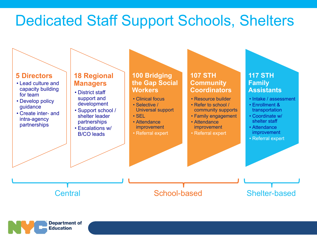## Dedicated Staff Support Schools, Shelters



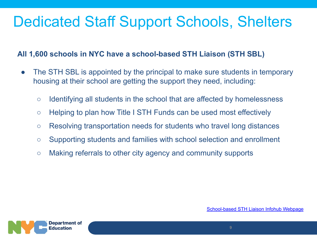## Dedicated Staff Support Schools, Shelters

#### **All 1,600 schools in NYC have a school-based STH Liaison (STH SBL)**

- The STH SBL is appointed by the principal to make sure students in temporary housing at their school are getting the support they need, including:
	- Identifying all students in the school that are affected by homelessness
	- Helping to plan how Title I STH Funds can be used most effectively
	- Resolving transportation needs for students who travel long distances
	- Supporting students and families with school selection and enrollment
	- Making referrals to other city agency and community supports

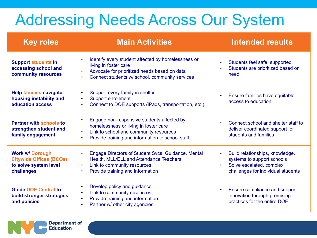# Addressing Needs Across Our System

| <b>Key roles</b>                                                                                | <b>Main Activities</b>                                                                                                                                                                                      | <b>Intended results</b>                                                                                                                                   |
|-------------------------------------------------------------------------------------------------|-------------------------------------------------------------------------------------------------------------------------------------------------------------------------------------------------------------|-----------------------------------------------------------------------------------------------------------------------------------------------------------|
| <b>Support students in</b><br>accessing school and<br>community resources                       | Identify every student affected by homelessness or<br>living in foster care<br>Advocate for prioritized needs based on data<br>$\bullet$<br>Connect students w/ school, community services<br>$\bullet$     | Students feel safe, supported<br>$\bullet$<br>Students are prioritized based on<br>need                                                                   |
| <b>Help families navigate</b><br>housing instability and<br>education access                    | Support every family in shelter<br>$\bullet$<br>Support enrollment<br>$\bullet$<br>Connect to DOE supports (iPads, transportation, etc.)<br>$\bullet$                                                       | Ensure families have equitable<br>$\bullet$<br>access to education                                                                                        |
| <b>Partner with schools to</b><br>strengthen student and<br>family engagement                   | Engage non-responsive students affected by<br>homelessness or living in foster care<br>Link to school and community resources<br>$\bullet$<br>Provide training and information to school staff<br>$\bullet$ | Connect school and shelter staff to<br>$\bullet$<br>deliver coordinated support for<br>students and families                                              |
| <b>Work w/ Borough</b><br><b>Citywide Offices (BCOs)</b><br>to solve system level<br>challenges | Engage Directors of Student Svcs, Guidance, Mental<br>$\bullet$<br>Health, MLL/ELL and Attendance Teachers<br>Link to community resources<br>$\bullet$<br>Provide training and information<br>$\bullet$     | Build relationships, knowledge,<br>$\bullet$<br>systems to support schools<br>Solve escalated, complex<br>$\bullet$<br>challenges for individual students |
| <b>Guide DOE Central to</b><br>build stronger strategies<br>and policies                        | Develop policy and guidance<br>$\bullet$<br>Link to community resources<br>$\bullet$<br>Provide training and information<br>$\bullet$<br>Partner w/ other city agencies                                     | Ensure compliance and support<br>$\bullet$<br>innovation through promising<br>practices for the entire DOE                                                |

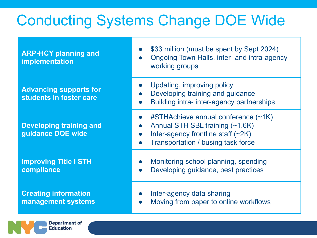## Conducting Systems Change DOE Wide

**ARP-HCY planning and implementation**

**Advancing supports for students in foster care**

**Developing training and guidance DOE wide**

**Improving Title I STH compliance**

**Creating information management systems**

> **Department of** Education

- \$33 million (must be spent by Sept 2024)
- Ongoing Town Halls, inter- and intra-agency working groups
- Updating, improving policy
- Developing training and guidance
- Building intra- inter-agency partnerships
- $\#$ STHAchieve annual conference (~1K)
- Annual STH SBL training (~1.6K)
- Inter-agency frontline staff  $(\sim 2K)$
- **Transportation / busing task force**
- Monitoring school planning, spending
- Developing guidance, best practices
- Inter-agency data sharing
- Moving from paper to online workflows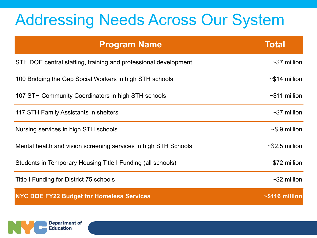# Addressing Needs Across Our System

| <b>Program Name</b>                                             | <b>Total</b>         |
|-----------------------------------------------------------------|----------------------|
| STH DOE central staffing, training and professional development | $\sim$ \$7 million   |
| 100 Bridging the Gap Social Workers in high STH schools         | $\sim$ \$14 million  |
| 107 STH Community Coordinators in high STH schools              | $\sim$ \$11 million  |
| 117 STH Family Assistants in shelters                           | $\sim$ \$7 million   |
| Nursing services in high STH schools                            | $\sim$ \$.9 million  |
| Mental health and vision screening services in high STH Schools | $\sim$ \$2.5 million |
| Students in Temporary Housing Title I Funding (all schools)     | \$72 million         |
| Title I Funding for District 75 schools                         | $~52$ million        |
| <b>NYC DOE FY22 Budget for Homeless Services</b>                | $\sim$ \$116 million |

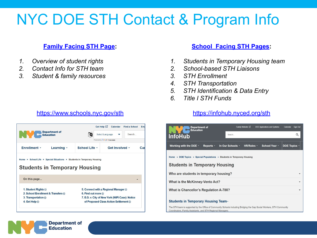## NYC DOE STH Contact & Program Info

#### **[Family Facing STH Page:](https://www.schools.nyc.gov/school-life/special-situations/students-in-temporary-housing)**

- *1. Overview of student rights*
- *2. Contact Info for STH team*
- *3. Student & family resources*

#### [https://www.schools.nyc.gov/sth](https://www.schools.nyc.gov/school-life/special-situations/students-in-temporary-housing)



#### **[School Facing STH Pages:](https://infohub.nyced.org/sth)**

- *1. Students in Temporary Housing team*
- *2. School-based STH Liaisons*
- *3. STH Enrollment*
- *4. STH Transportation*
- *5. STH Identification & Data Entry*
- *6. Title I STH Funds*

#### <https://infohub.nyced.org/sth>

| Department of<br><b>Education</b><br><b>InfoHub</b>                                                                                                                                  | Family Website L'<br>Search          | <b>DOE Applications and Systems</b> | <b>Sign Out</b><br>Calendar<br>Q |  |  |  |  |
|--------------------------------------------------------------------------------------------------------------------------------------------------------------------------------------|--------------------------------------|-------------------------------------|----------------------------------|--|--|--|--|
|                                                                                                                                                                                      |                                      |                                     |                                  |  |  |  |  |
| Working with the DOE -<br>Reports -                                                                                                                                                  | In Our Schools -<br>HR/Roles -       | School Year -                       | DOE Topics -                     |  |  |  |  |
| Home • DOE Topics • Special Populations • Students in Temporary Housing                                                                                                              |                                      |                                     |                                  |  |  |  |  |
|                                                                                                                                                                                      | <b>Students in Temporary Housing</b> |                                     |                                  |  |  |  |  |
| Who are students in temporary housing?<br>$\checkmark$                                                                                                                               |                                      |                                     |                                  |  |  |  |  |
| <b>What is the McKinney-Vento Act?</b>                                                                                                                                               |                                      |                                     |                                  |  |  |  |  |
| What is Chancellor's Regulation A-780?                                                                                                                                               |                                      |                                     |                                  |  |  |  |  |
| Students in Temporary Housing Team >                                                                                                                                                 |                                      |                                     |                                  |  |  |  |  |
| The STH team is supported by the Office of Community Schools including Bridging the Gap Social Workers, STH Community<br>Coordinators, Family Assistants, and STH Regional Managers. |                                      |                                     |                                  |  |  |  |  |

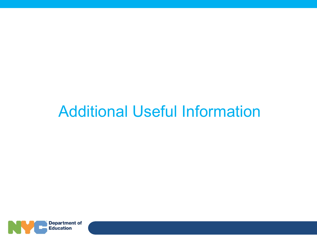## Additional Useful Information

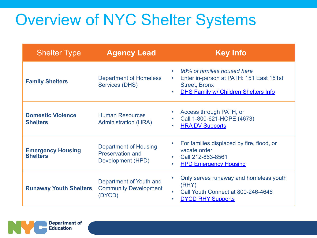# Overview of NYC Shelter Systems

| <b>Shelter Type</b>                         | <b>Agency Lead</b>                                                    | <b>Key Info</b>                                                                                                                                                           |
|---------------------------------------------|-----------------------------------------------------------------------|---------------------------------------------------------------------------------------------------------------------------------------------------------------------------|
| <b>Family Shelters</b>                      | <b>Department of Homeless</b><br>Services (DHS)                       | • 90% of families housed here<br>Enter in-person at PATH: 151 East 151st<br>$\bullet$<br><b>Street, Bronx</b><br><b>DHS Family w/ Children Shelters Info</b><br>$\bullet$ |
| <b>Domestic Violence</b><br><b>Shelters</b> | <b>Human Resources</b><br><b>Administration (HRA)</b>                 | Access through PATH, or<br>٠<br>Call 1-800-621-HOPE (4673)<br>۰<br><b>HRA DV Supports</b><br>$\bullet$                                                                    |
| <b>Emergency Housing</b><br><b>Shelters</b> | Department of Housing<br><b>Preservation and</b><br>Development (HPD) | For families displaced by fire, flood, or<br>$\bullet$<br>vacate order<br>Call 212-863-8561<br>$\bullet$<br><b>HPD Emergency Housing</b><br>$\bullet$                     |
| <b>Runaway Youth Shelters</b>               | Department of Youth and<br><b>Community Development</b><br>(DYCD)     | Only serves runaway and homeless youth<br>(RHY)<br>Call Youth Connect at 800-246-4646<br><b>DYCD RHY Supports</b><br>$\bullet$                                            |

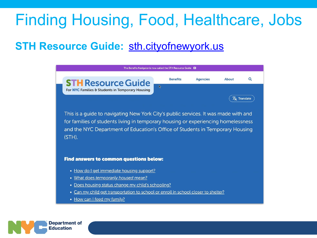# Finding Housing, Food, Healthcare, Jobs

### **STH Resource Guide: [sth.cityofnewyork.us](http://sth.cityofnewyork.us/)**

| The Benefits Navigator is now called the STH Resource Guide <b>E3</b>                                                                                                                                                                                               |                 |                 |       |                              |  |
|---------------------------------------------------------------------------------------------------------------------------------------------------------------------------------------------------------------------------------------------------------------------|-----------------|-----------------|-------|------------------------------|--|
| <b>STH</b> Resource Guide                                                                                                                                                                                                                                           | <b>Benefits</b> | <b>Agencies</b> | About | $\alpha$                     |  |
| $\mathbb{Z}$<br>For NYC Families & Students in Temporary Housing                                                                                                                                                                                                    |                 |                 |       | $\overline{X}_{A}$ Translate |  |
| This is a quide to navigating New York City's public services. It was made with and<br>for families of students living in temporary housing or experiencing homelessness<br>and the NYC Department of Education's Office of Students in Temporary Housing<br>(STH). |                 |                 |       |                              |  |
| Find answers to common questions below:                                                                                                                                                                                                                             |                 |                 |       |                              |  |
| • How do I get immediate housing support?                                                                                                                                                                                                                           |                 |                 |       |                              |  |
| • What does temporarily housed mean?                                                                                                                                                                                                                                |                 |                 |       |                              |  |
| • Does housing status change my child's schooling?                                                                                                                                                                                                                  |                 |                 |       |                              |  |
| Can my child get transportation to school or enroll in school closer to shelter?<br>$\bullet$                                                                                                                                                                       |                 |                 |       |                              |  |

• How can I feed my family?

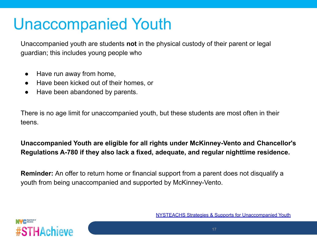## Unaccompanied Youth

Unaccompanied youth are students **not** in the physical custody of their parent or legal guardian; this includes young people who

- Have run away from home,
- Have been kicked out of their homes, or
- Have been abandoned by parents.

There is no age limit for unaccompanied youth, but these students are most often in their teens.

#### **Unaccompanied Youth are eligible for all rights under McKinney-Vento and Chancellor's Regulations A-780 if they also lack a fixed, adequate, and regular nighttime residence.**

**Reminder:** An offer to return home or financial support from a parent does not disqualify a youth from being unaccompanied and supported by McKinney-Vento.